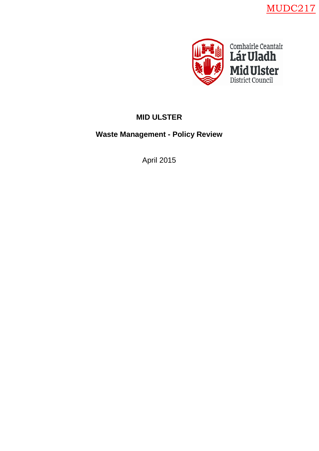



# **MID ULSTER**

**Waste Management - Policy Review**

April 2015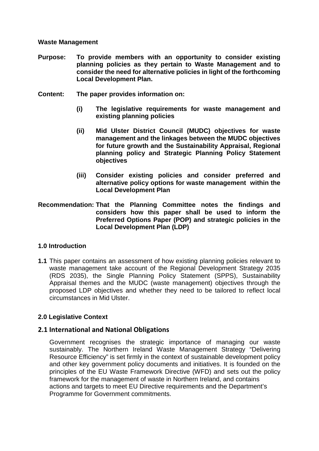#### **Waste Management**

- **Purpose: To provide members with an opportunity to consider existing planning policies as they pertain to Waste Management and to consider the need for alternative policies in light of the forthcoming Local Development Plan.**
- **Content: The paper provides information on:**
	- **(i) The legislative requirements for waste management and existing planning policies**
	- **(ii) Mid Ulster District Council (MUDC) objectives for waste management and the linkages between the MUDC objectives for future growth and the Sustainability Appraisal, Regional planning policy and Strategic Planning Policy Statement objectives**
	- **(iii) Consider existing policies and consider preferred and alternative policy options for waste management within the Local Development Plan**
- **Recommendation: That the Planning Committee notes the findings and considers how this paper shall be used to inform the Preferred Options Paper (POP) and strategic policies in the Local Development Plan (LDP)**

## **1.0 Introduction**

**1.1** This paper contains an assessment of how existing planning policies relevant to waste management take account of the Regional Development Strategy 2035 (RDS 2035), the Single Planning Policy Statement (SPPS), Sustainability Appraisal themes and the MUDC (waste management) objectives through the proposed LDP objectives and whether they need to be tailored to reflect local circumstances in Mid Ulster.

## **2.0 Legislative Context**

## **2.1 International and National Obligations**

Government recognises the strategic importance of managing our waste sustainably. The Northern Ireland Waste Management Strategy "Delivering Resource Efficiency" is set firmly in the context of sustainable development policy and other key government policy documents and initiatives. It is founded on the principles of the EU Waste Framework Directive (WFD) and sets out the policy framework for the management of waste in Northern Ireland, and contains actions and targets to meet EU Directive requirements and the Department's Programme for Government commitments.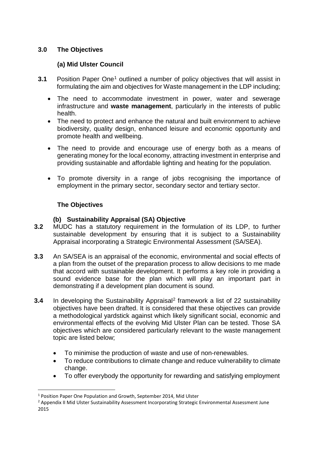## **3.0 The Objectives**

## **(a) Mid Ulster Council**

- **3.[1](#page-2-0)** Position Paper One<sup>1</sup> outlined a number of policy objectives that will assist in formulating the aim and objectives for Waste management in the LDP including;
	- The need to accommodate investment in power, water and sewerage infrastructure and **waste management**, particularly in the interests of public health.
	- The need to protect and enhance the natural and built environment to achieve biodiversity, quality design, enhanced leisure and economic opportunity and promote health and wellbeing.
	- The need to provide and encourage use of energy both as a means of generating money for the local economy, attracting investment in enterprise and providing sustainable and affordable lighting and heating for the population.
	- To promote diversity in a range of jobs recognising the importance of employment in the primary sector, secondary sector and tertiary sector.

## **The Objectives**

## **(b) Sustainability Appraisal (SA) Objective**

- **3.2** MUDC has a statutory requirement in the formulation of its LDP, to further sustainable development by ensuring that it is subject to a Sustainability Appraisal incorporating a Strategic Environmental Assessment (SA/SEA).
- **3.3** An SA/SEA is an appraisal of the economic, environmental and social effects of a plan from the outset of the preparation process to allow decisions to me made that accord with sustainable development. It performs a key role in providing a sound evidence base for the plan which will play an important part in demonstrating if a development plan document is sound.
- **3.4** In developing the Sustainability Appraisal<sup>[2](#page-2-1)</sup> framework a list of 22 sustainability objectives have been drafted. It is considered that these objectives can provide a methodological yardstick against which likely significant social, economic and environmental effects of the evolving Mid Ulster Plan can be tested. Those SA objectives which are considered particularly relevant to the waste management topic are listed below;
	- To minimise the production of waste and use of non-renewables.
	- To reduce contributions to climate change and reduce vulnerability to climate change.
	- To offer everybody the opportunity for rewarding and satisfying employment

<span id="page-2-0"></span><sup>&</sup>lt;sup>1</sup> Position Paper One Population and Growth, September 2014, Mid Ulster

<span id="page-2-1"></span><sup>2</sup> Appendix II Mid Ulster Sustainability Assessment Incorporating Strategic Environmental Assessment June 2015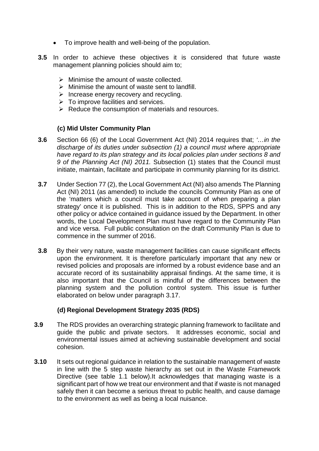- To improve health and well-being of the population.
- **3.5** In order to achieve these objectives it is considered that future waste management planning policies should aim to;
	- $\triangleright$  Minimise the amount of waste collected.
	- $\triangleright$  Minimise the amount of waste sent to landfill.
	- $\triangleright$  Increase energy recovery and recycling.
	- $\triangleright$  To improve facilities and services.
	- $\triangleright$  Reduce the consumption of materials and resources.

## **(c) Mid Ulster Community Plan**

- **3.6** Section 66 (6) of the Local Government Act (NI) 2014 requires that; *'…in the discharge of its duties under subsection (1) a council must where appropriate have regard to its plan strategy and its local policies plan under sections 8 and 9 of the Planning Act (NI) 2011.* Subsection (1) states that the Council must initiate, maintain, facilitate and participate in community planning for its district.
- **3.7** Under Section 77 (2), the Local Government Act (NI) also amends The Planning Act (NI) 2011 (as amended) to include the councils Community Plan as one of the 'matters which a council must take account of when preparing a plan strategy' once it is published. This is in addition to the RDS, SPPS and any other policy or advice contained in guidance issued by the Department. In other words, the Local Development Plan must have regard to the Community Plan and vice versa. Full public consultation on the draft Community Plan is due to commence in the summer of 2016.
- **3.8** By their very nature, waste management facilities can cause significant effects upon the environment. It is therefore particularly important that any new or revised policies and proposals are informed by a robust evidence base and an accurate record of its sustainability appraisal findings. At the same time, it is also important that the Council is mindful of the differences between the planning system and the pollution control system. This issue is further elaborated on below under paragraph 3.17.

## **(d) Regional Development Strategy 2035 (RDS)**

- **3.9** The RDS provides an overarching strategic planning framework to facilitate and guide the public and private sectors. It addresses economic, social and environmental issues aimed at achieving sustainable development and social cohesion.
- **3.10** It sets out regional guidance in relation to the sustainable management of waste in line with the 5 step waste hierarchy as set out in the Waste Framework Directive (see table 1.1 below).It acknowledges that managing waste is a significant part of how we treat our environment and that if waste is not managed safely then it can become a serious threat to public health, and cause damage to the environment as well as being a local nuisance.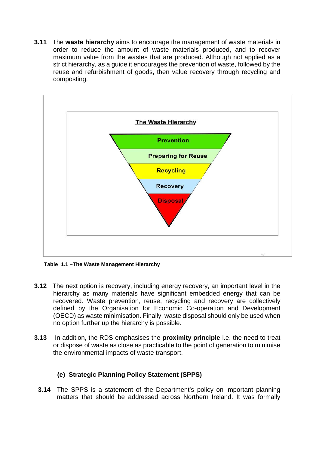**3.11** The **waste hierarchy** aims to encourage the management of waste materials in order to reduce the amount of waste materials produced, and to recover maximum value from the wastes that are produced. Although not applied as a strict hierarchy, as a guide it encourages the prevention of waste, followed by the reuse and refurbishment of goods, then value recovery through recycling and composting.



 **Table 1.1 –The Waste Management Hierarchy** 

- **3.12** The next option is recovery, including energy recovery, an important level in the hierarchy as many materials have significant embedded energy that can be recovered. Waste prevention, reuse, recycling and recovery are collectively defined by the Organisation for Economic Co-operation and Development (OECD) as waste minimisation. Finally, waste disposal should only be used when no option further up the hierarchy is possible.
- **3.13** In addition, the RDS emphasises the **proximity principle** i.e. the need to treat or dispose of waste as close as practicable to the point of generation to minimise the environmental impacts of waste transport.

## **(e) Strategic Planning Policy Statement (SPPS)**

**3.14** The SPPS is a statement of the Department's policy on important planning matters that should be addressed across Northern Ireland. It was formally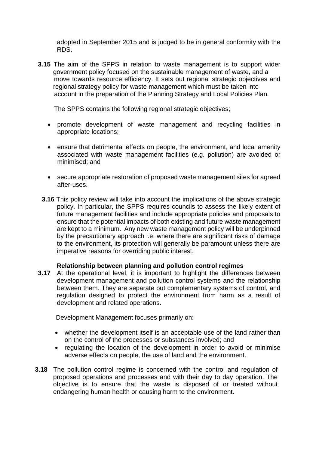adopted in September 2015 and is judged to be in general conformity with the RDS.

**3.15** The aim of the SPPS in relation to waste management is to support wider government policy focused on the sustainable management of waste, and a move towards resource efficiency. It sets out regional strategic objectives and regional strategy policy for waste management which must be taken into account in the preparation of the Planning Strategy and Local Policies Plan.

The SPPS contains the following regional strategic objectives;

- promote development of waste management and recycling facilities in appropriate locations;
- ensure that detrimental effects on people, the environment, and local amenity associated with waste management facilities (e.g. pollution) are avoided or minimised; and
- secure appropriate restoration of proposed waste management sites for agreed after-uses.
- **3.16** This policy review will take into account the implications of the above strategic policy. In particular, the SPPS requires councils to assess the likely extent of future management facilities and include appropriate policies and proposals to ensure that the potential impacts of both existing and future waste management are kept to a minimum. Any new waste management policy will be underpinned by the precautionary approach i.e. where there are significant risks of damage to the environment, its protection will generally be paramount unless there are imperative reasons for overriding public interest.

#### **Relationship between planning and pollution control regimes**

**3.17** At the operational level, it is important to highlight the differences between development management and pollution control systems and the relationship between them. They are separate but complementary systems of control, and regulation designed to protect the environment from harm as a result of development and related operations.

Development Management focuses primarily on:

- whether the development itself is an acceptable use of the land rather than on the control of the processes or substances involved; and
- regulating the location of the development in order to avoid or minimise adverse effects on people, the use of land and the environment.
- **3.18** The pollution control regime is concerned with the control and regulation of proposed operations and processes and with their day to day operation. The objective is to ensure that the waste is disposed of or treated without endangering human health or causing harm to the environment.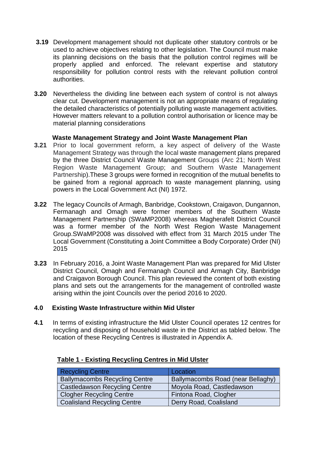- **3.19** Development management should not duplicate other statutory controls or be used to achieve objectives relating to other legislation. The Council must make its planning decisions on the basis that the pollution control regimes will be properly applied and enforced. The relevant expertise and statutory responsibility for pollution control rests with the relevant pollution control authorities.
- **3.20** Nevertheless the dividing line between each system of control is not always clear cut. Development management is not an appropriate means of regulating the detailed characteristics of potentially polluting waste management activities. However matters relevant to a pollution control authorisation or licence may be material planning considerations

## **Waste Management Strategy and Joint Waste Management Plan**

- **3.21** Prior to local government reform, a key aspect of delivery of the Waste Management Strategy was through the local waste management plans prepared by the three District Council Waste Management Groups (Arc 21; North West Region Waste Management Group; and Southern Waste Management Partnership).These 3 groups were formed in recognition of the mutual benefits to be gained from a regional approach to waste management planning, using powers in the Local Government Act (NI) 1972.
- **3.22** The legacy Councils of Armagh, Banbridge, Cookstown, Craigavon, Dungannon, Fermanagh and Omagh were former members of the Southern Waste Management Partnership (SWaMP2008) whereas Magherafelt District Council was a former member of the North West Region Waste Management Group.SWaMP2008 was dissolved with effect from 31 March 2015 under The Local Government (Constituting a Joint Committee a Body Corporate) Order (NI) 2015
- **3.23** In February 2016, a Joint Waste Management Plan was prepared for Mid Ulster District Council, Omagh and Fermanagh Council and Armagh City, Banbridge and Craigavon Borough Council. This plan reviewed the content of both existing plans and sets out the arrangements for the management of controlled waste arising within the joint Councils over the period 2016 to 2020.

## **4.0 Existing Waste Infrastructure within Mid Ulster**

**4.1** In terms of existing infrastructure the Mid Ulster Council operates 12 centres for recycling and disposing of household waste in the District as tabled below. The location of these Recycling Centres is illustrated in Appendix A.

| <b>Recycling Centre</b>              | Location                          |
|--------------------------------------|-----------------------------------|
| <b>Ballymacombs Recycling Centre</b> | Ballymacombs Road (near Bellaghy) |
| <b>Castledawson Recycling Centre</b> | Moyola Road, Castledawson         |
| <b>Clogher Recycling Centre</b>      | Fintona Road, Clogher             |
| <b>Coalisland Recycling Centre</b>   | Derry Road, Coalisland            |

## **Table 1 - Existing Recycling Centres in Mid Ulster**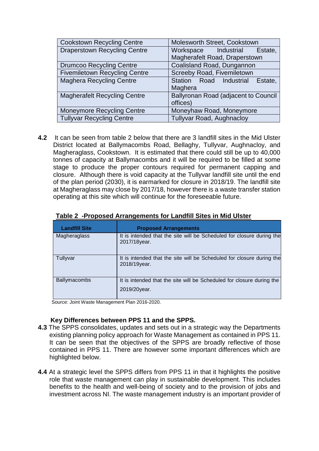| <b>Cookstown Recycling Centre</b>    | Molesworth Street, Cookstown         |  |
|--------------------------------------|--------------------------------------|--|
| <b>Draperstown Recycling Centre</b>  | Workspace Industrial<br>Estate,      |  |
|                                      | Magherafelt Road, Draperstown        |  |
| <b>Drumcoo Recycling Centre</b>      | Coalisland Road, Dungannon           |  |
| <b>Fivemiletown Recycling Centre</b> | Screeby Road, Fivemiletown           |  |
| <b>Maghera Recycling Centre</b>      | Station Road Industrial Estate,      |  |
|                                      | Maghera                              |  |
| <b>Magherafelt Recycling Centre</b>  | Ballyronan Road (adjacent to Council |  |
|                                      | offices)                             |  |
| <b>Moneymore Recycling Centre</b>    | Moneyhaw Road, Moneymore             |  |
| <b>Tullyvar Recycling Centre</b>     | <b>Tullyvar Road, Aughnacloy</b>     |  |

**4.2** It can be seen from table 2 below that there are 3 landfill sites in the Mid Ulster District located at Ballymacombs Road, Bellaghy, Tullyvar, Aughnacloy, and Magheraglass, Cookstown. It is estimated that there could still be up to 40,000 tonnes of capacity at Ballymacombs and it will be required to be filled at some stage to produce the proper contours required for permanent capping and closure. Although there is void capacity at the Tullyvar landfill site until the end of the plan period (2030), it is earmarked for closure in 2018/19. The landfill site at Magheraglass may close by 2017/18, however there is a waste transfer station operating at this site which will continue for the foreseeable future.

| <b>Landfill Site</b> | <b>Proposed Arrangements</b>                                                           |
|----------------------|----------------------------------------------------------------------------------------|
| Magheraglass         | It is intended that the site will be Scheduled for closure during the<br>2017/18year.  |
| Tullyvar             | It is intended that the site will be Scheduled for closure during the<br>2018/19 year. |
| <b>Ballymacombs</b>  | It is intended that the site will be Scheduled for closure during the<br>2019/20year.  |

#### **Table 2 -Proposed Arrangements for Landfill Sites in Mid Ulster**

Source: Joint Waste Management Plan 2016-2020.

## **Key Differences between PPS 11 and the SPPS.**

- **4.3** The SPPS consolidates, updates and sets out in a strategic way the Departments existing planning policy approach for Waste Management as contained in PPS 11. It can be seen that the objectives of the SPPS are broadly reflective of those contained in PPS 11. There are however some important differences which are highlighted below.
- **4.4** At a strategic level the SPPS differs from PPS 11 in that it highlights the positive role that waste management can play in sustainable development. This includes benefits to the health and well-being of society and to the provision of jobs and investment across NI. The waste management industry is an important provider of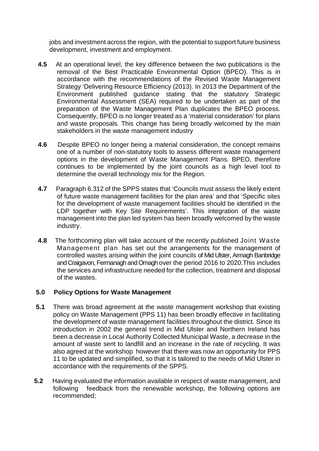jobs and investment across the region, with the potential to support future business development, investment and employment.

- **4.5** At an operational level, the key difference between the two publications is the removal of the Best Practicable Environmental Option (BPEO). This is in accordance with the recommendations of the Revised Waste Management Strategy 'Delivering Resource Efficiency (2013). In 2013 the Department of the Environment published guidance stating that the statutory Strategic Environmental Assessment (SEA) required to be undertaken as part of the preparation of the Waste Management Plan duplicates the BPEO process. Consequently, BPEO is no longer treated as a 'material consideration' for plans and waste proposals. This change has being broadly welcomed by the main stakeholders in the waste management industry
- **4.6** Despite BPEO no longer being a material consideration, the concept remains one of a number of non-statutory tools to assess different waste management options in the development of Waste Management Plans. BPEO, therefore continues to be implemented by the joint councils as a high level tool to determine the overall technology mix for the Region.
- **4.7** Paragraph 6.312 of the SPPS states that 'Councils must assess the likely extent of future waste management facilities for the plan area' and that 'Specific sites for the development of waste management facilities should be identified in the LDP together with Key Site Requirements'. This integration of the waste management into the plan led system has been broadly welcomed by the waste industry.
- **4.8** The forthcoming plan will take account of the recently published Joint Waste Management plan has set out the arrangements for the management of controlled wastes arising within the joint councils of Mid Ulster, Armagh Banbridge and Craigavon, Fermanagh and Omagh over the period 2016 to 2020.This includes the services and infrastructure needed for the collection, treatment and disposal of the wastes.

## **5.0 Policy Options for Waste Management**

- **5.1** There was broad agreement at the waste management workshop that existing policy on Waste Management (PPS 11) has been broadly effective in facilitating the development of waste management facilities throughout the district. Since its introduction in 2002 the general trend in Mid Ulster and Northern Ireland has been a decrease in Local Authority Collected Municipal Waste, a decrease in the amount of waste sent to landfill and an increase in the rate of recycling. It was also agreed at the workshop however that there was now an opportunity for PPS 11 to be updated and simplified, so that it is tailored to the needs of Mid Ulster in accordance with the requirements of the SPPS.
- **5.2** Having evaluated the information available in respect of waste management, and following feedback from the renewable workshop, the following options are recommended;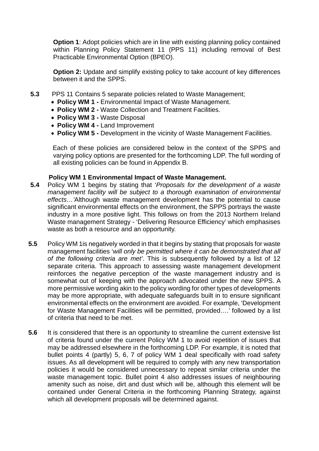**Option 1:** Adopt policies which are in line with existing planning policy contained within Planning Policy Statement 11 (PPS 11) including removal of Best Practicable Environmental Option (BPEO).

**Option 2:** Update and simplify existing policy to take account of key differences between it and the SPPS.

- **5.3** PPS 11 Contains 5 separate policies related to Waste Management;
	- **Policy WM 1 -** Environmental Impact of Waste Management.
	- **Policy WM 2 -** Waste Collection and Treatment Facilities.
	- **Policy WM 3 -** Waste Disposal
	- **Policy WM 4 -** Land Improvement
	- **Policy WM 5 -** Development in the vicinity of Waste Management Facilities.

 Each of these policies are considered below in the context of the SPPS and varying policy options are presented for the forthcoming LDP. The full wording of all existing policies can be found in Appendix B.

## **Policy WM 1 Environmental Impact of Waste Management.**

- **5.4** Policy WM 1 begins by stating that '*Proposals for the development of a waste management facility will be subject to a thorough examination of environmental effects…'*Although waste management development has the potential to cause significant environmental effects on the environment, the SPPS portrays the waste industry in a more positive light. This follows on from the 2013 Northern Ireland Waste management Strategy - 'Delivering Resource Efficiency' which emphasises waste as both a resource and an opportunity.
- **5.5** Policy WM 1is negatively worded in that it begins by stating that proposals for waste management facilities '*will only be permitted where it can be demonstrated that all of the following criteria are met'*. This is subsequently followed by a list of 12 separate criteria. This approach to assessing waste management development reinforces the negative perception of the waste management industry and is somewhat out of keeping with the approach advocated under the new SPPS. A more permissive wording akin to the policy wording for other types of developments may be more appropriate, with adequate safeguards built in to ensure significant environmental effects on the environment are avoided. For example, 'Development for Waste Management Facilities will be permitted, provided….' followed by a list of criteria that need to be met.
- **5.6** It is considered that there is an opportunity to streamline the current extensive list of criteria found under the current Policy WM 1 to avoid repetition of issues that may be addressed elsewhere in the forthcoming LDP. For example, it is noted that bullet points 4 (partly) 5, 6, 7 of policy WM 1 deal specifically with road safety issues. As all development will be required to comply with any new transportation policies it would be considered unnecessary to repeat similar criteria under the waste management topic. Bullet point 4 also addresses issues of neighbouring amenity such as noise, dirt and dust which will be, although this element will be contained under General Criteria in the forthcoming Planning Strategy, against which all development proposals will be determined against.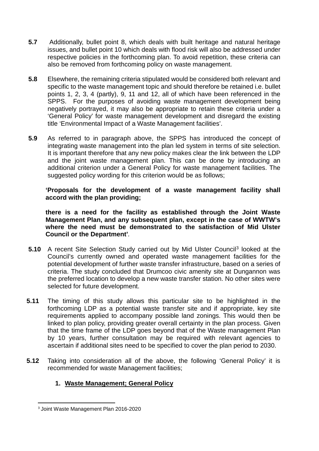- **5.7** Additionally, bullet point 8, which deals with built heritage and natural heritage issues, and bullet point 10 which deals with flood risk will also be addressed under respective policies in the forthcoming plan. To avoid repetition, these criteria can also be removed from forthcoming policy on waste management.
- **5.8** Elsewhere, the remaining criteria stipulated would be considered both relevant and specific to the waste management topic and should therefore be retained i.e. bullet points 1, 2, 3, 4 (partly), 9, 11 and 12, all of which have been referenced in the SPPS. For the purposes of avoiding waste management development being negatively portrayed, it may also be appropriate to retain these criteria under a 'General Policy' for waste management development and disregard the existing title 'Environmental Impact of a Waste Management facilities'.
- **5.9** As referred to in paragraph above, the SPPS has introduced the concept of integrating waste management into the plan led system in terms of site selection. It is important therefore that any new policy makes clear the link between the LDP and the joint waste management plan. This can be done by introducing an additional criterion under a General Policy for waste management facilities. The suggested policy wording for this criterion would be as follows;

**'Proposals for the development of a waste management facility shall accord with the plan providing;**

**there is a need for the facility as established through the Joint Waste Management Plan, and any subsequent plan, except in the case of WWTW's where the need must be demonstrated to the satisfaction of Mid Ulster Council or the Department'***.*

- **5.10** A recent Site Selection Study carried out by Mid Ulster Council<sup>[3](#page-10-0)</sup> looked at the Council's currently owned and operated waste management facilities for the potential development of further waste transfer infrastructure, based on a series of criteria. The study concluded that Drumcoo civic amenity site at Dungannon was the preferred location to develop a new waste transfer station. No other sites were selected for future development.
- **5.11** The timing of this study allows this particular site to be highlighted in the forthcoming LDP as a potential waste transfer site and if appropriate, key site requirements applied to accompany possible land zonings. This would then be linked to plan policy, providing greater overall certainty in the plan process. Given that the time frame of the LDP goes beyond that of the Waste management Plan by 10 years, further consultation may be required with relevant agencies to ascertain if additional sites need to be specified to cover the plan period to 2030.
- **5.12** Taking into consideration all of the above, the following 'General Policy' it is recommended for waste Management facilities;

## **1. Waste Management; General Policy**

<span id="page-10-0"></span> <sup>3</sup> Joint Waste Management Plan 2016-2020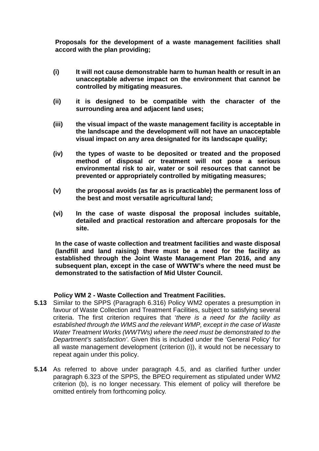**Proposals for the development of a waste management facilities shall accord with the plan providing;**

- **(i) It will not cause demonstrable harm to human health or result in an unacceptable adverse impact on the environment that cannot be controlled by mitigating measures.**
- **(ii) it is designed to be compatible with the character of the surrounding area and adjacent land uses;**
- **(iii) the visual impact of the waste management facility is acceptable in the landscape and the development will not have an unacceptable visual impact on any area designated for its landscape quality;**
- **(iv) the types of waste to be deposited or treated and the proposed method of disposal or treatment will not pose a serious environmental risk to air, water or soil resources that cannot be prevented or appropriately controlled by mitigating measures;**
- **(v) the proposal avoids (as far as is practicable) the permanent loss of the best and most versatile agricultural land;**
- **(vi) In the case of waste disposal the proposal includes suitable, detailed and practical restoration and aftercare proposals for the site.**

**In the case of waste collection and treatment facilities and waste disposal (landfill and land raising) there must be a need for the facility as established through the Joint Waste Management Plan 2016, and any subsequent plan, except in the case of WWTW's where the need must be demonstrated to the satisfaction of Mid Ulster Council.**

## **Policy WM 2 - Waste Collection and Treatment Facilities.**

- **5.13** Similar to the SPPS (Paragraph 6.316) Policy WM2 operates a presumption in favour of Waste Collection and Treatment Facilities, subject to satisfying several criteria. The first criterion requires that '*there is a need for the facility as established through the WMS and the relevant WMP, except in the case of Waste Water Treatment Works (WWTWs) where the need must be demonstrated to the Department's satisfaction'*. Given this is included under the 'General Policy' for all waste management development (criterion (i)), it would not be necessary to repeat again under this policy.
- **5.14** As referred to above under paragraph 4.5, and as clarified further under paragraph 6.323 of the SPPS, the BPEO requirement as stipulated under WM2 criterion (b), is no longer necessary. This element of policy will therefore be omitted entirely from forthcoming policy.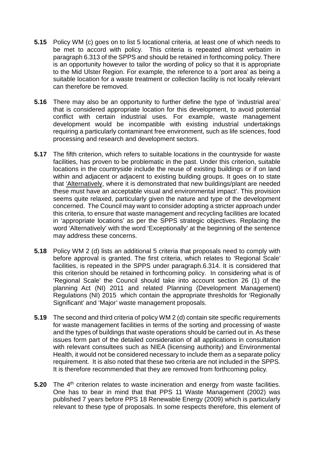- **5.15** Policy WM (c) goes on to list 5 locational criteria, at least one of which needs to be met to accord with policy. This criteria is repeated almost verbatim in paragraph 6.313 of the SPPS and should be retained in forthcoming policy. There is an opportunity however to tailor the wording of policy so that it is appropriate to the Mid Ulster Region. For example, the reference to a 'port area' as being a suitable location for a waste treatment or collection facility is not locally relevant can therefore be removed.
- **5.16** There may also be an opportunity to further define the type of 'industrial area' that is considered appropriate location for this development, to avoid potential conflict with certain industrial uses. For example, waste management development would be incompatible with existing industrial undertakings requiring a particularly contaminant free environment, such as life sciences, food processing and research and development sectors.
- **5.17** The fifth criterion, which refers to suitable locations in the countryside for waste facilities, has proven to be problematic in the past. Under this criterion, suitable locations in the countryside include the reuse of existing buildings or if on land within and adjacent or adjacent to existing building groups. It goes on to state that 'Alternatively, where it is demonstrated that new buildings/plant are needed these must have an acceptable visual and environmental impact'. This provision seems quite relaxed, particularly given the nature and type of the development concerned. The Council may want to consider adopting a stricter approach under this criteria, to ensure that waste management and recycling facilities are located in 'appropriate locations' as per the SPPS strategic objectives. Replacing the word 'Alternatively' with the word 'Exceptionally' at the beginning of the sentence may address these concerns.
- **5.18** Policy WM 2 (d) lists an additional 5 criteria that proposals need to comply with before approval is granted. The first criteria, which relates to 'Regional Scale' facilities, is repeated in the SPPS under paragraph.6.314. It is considered that this criterion should be retained in forthcoming policy. In considering what is of 'Regional Scale' the Council should take into account section 26 (1) of the planning Act (NI) 2011 and related Planning (Development Management) Regulations (NI) 2015 which contain the appropriate thresholds for 'Regionally Significant' and 'Major' waste management proposals.
- **5.19** The second and third criteria of policy WM 2 (d) contain site specific requirements for waste management facilities in terms of the sorting and processing of waste and the types of buildings that waste operations should be carried out in. As these issues form part of the detailed consideration of all applications in consultation with relevant consultees such as NIEA (licensing authority) and Environmental Health, it would not be considered necessary to include them as a separate policy requirement. It is also noted that these two criteria are not included in the SPPS. It is therefore recommended that they are removed from forthcoming policy.
- **5.20** The 4<sup>th</sup> criterion relates to waste incineration and energy from waste facilities. One has to bear in mind that that PPS 11 Waste Management (2002) was published 7 years before PPS 18 Renewable Energy (2009) which is particularly relevant to these type of proposals. In some respects therefore, this element of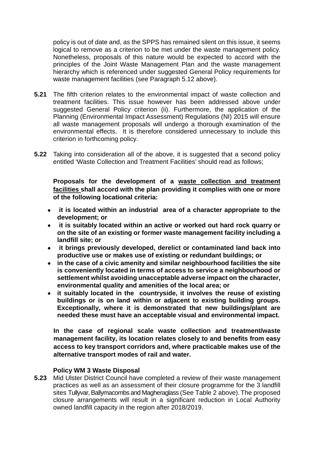policy is out of date and, as the SPPS has remained silent on this issue, it seems logical to remove as a criterion to be met under the waste management policy. Nonetheless, proposals of this nature would be expected to accord with the principles of the Joint Waste Management Plan and the waste management hierarchy which is referenced under suggested General Policy requirements for waste management facilities (see Paragraph 5.12 above).

- **5.21** The fifth criterion relates to the environmental impact of waste collection and treatment facilities. This issue however has been addressed above under suggested General Policy criterion (ii). Furthermore, the application of the Planning (Environmental Impact Assessment) Regulations (NI) 2015 will ensure all waste management proposals will undergo a thorough examination of the environmental effects. It is therefore considered unnecessary to include this criterion in forthcoming policy.
- **5.22** Taking into consideration all of the above, it is suggested that a second policy entitled 'Waste Collection and Treatment Facilities' should read as follows;

**Proposals for the development of a waste collection and treatment facilities shall accord with the plan providing it complies with one or more of the following locational criteria:**

- **it is located within an industrial area of a character appropriate to the development; or**
- **it is suitably located within an active or worked out hard rock quarry or on the site of an existing or former waste management facility including a landfill site; or**
- **it brings previously developed, derelict or contaminated land back into productive use or makes use of existing or redundant buildings; or**
- **in the case of a civic amenity and similar neighbourhood facilities the site is conveniently located in terms of access to service a neighbourhood or settlement whilst avoiding unacceptable adverse impact on the character, environmental quality and amenities of the local area; or**
- **it suitably located in the countryside, it involves the reuse of existing buildings or is on land within or adjacent to existing building groups. Exceptionally, where it is demonstrated that new buildings/plant are needed these must have an acceptable visual and environmental impact.**

**In the case of regional scale waste collection and treatment/waste management facility, its location relates closely to and benefits from easy access to key transport corridors and, where practicable makes use of the alternative transport modes of rail and water.**

## **Policy WM 3 Waste Disposal**

**5.23** Mid Ulster District Council have completed a review of their waste management practices as well as an assessment of their closure programme for the 3 landfill sites Tullyvar, Ballymacombs and Magheraglass (See Table 2 above). The proposed closure arrangements will result in a significant reduction in Local Authority owned landfill capacity in the region after 2018/2019.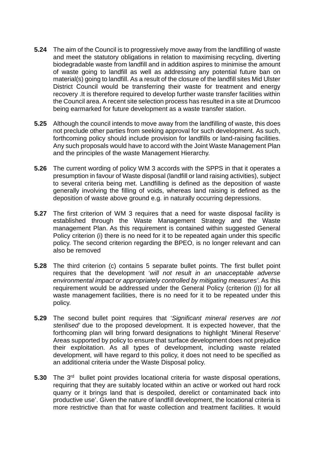- **5.24** The aim of the Council is to progressively move away from the landfilling of waste and meet the statutory obligations in relation to maximising recycling, diverting biodegradable waste from landfill and in addition aspires to minimise the amount of waste going to landfill as well as addressing any potential future ban on material(s) going to landfill. As a result of the closure of the landfill sites Mid Ulster District Council would be transferring their waste for treatment and energy recovery .It is therefore required to develop further waste transfer facilities within the Council area. A recent site selection process has resulted in a site at Drumcoo being earmarked for future development as a waste transfer station.
- **5.25** Although the council intends to move away from the landfilling of waste, this does not preclude other parties from seeking approval for such development. As such, forthcoming policy should include provision for landfills or land-raising facilities. Any such proposals would have to accord with the Joint Waste Management Plan and the principles of the waste Management Hierarchy.
- **5.26** The current wording of policy WM 3 accords with the SPPS in that it operates a presumption in favour of Waste disposal (landfill or land raising activities), subject to several criteria being met. Landfilling is defined as the deposition of waste generally involving the filling of voids, whereas land raising is defined as the deposition of waste above ground e.g. in naturally occurring depressions.
- **5.27** The first criterion of WM 3 requires that a need for waste disposal facility is established through the Waste Management Strategy and the Waste management Plan. As this requirement is contained within suggested General Policy criterion (i) there is no need for it to be repeated again under this specific policy. The second criterion regarding the BPEO, is no longer relevant and can also be removed
- **5.28** The third criterion (c) contains 5 separate bullet points. The first bullet point requires that the development '*will not result in an unacceptable adverse environmental impact or appropriately controlled by mitigating measures'*. As this requirement would be addressed under the General Policy (criterion (i)) for all waste management facilities, there is no need for it to be repeated under this policy.
- **5.29** The second bullet point requires that '*Significant mineral reserves are not sterilised'* due to the proposed development. It is expected however, that the forthcoming plan will bring forward designations to highlight 'Mineral Reserve' Areas supported by policy to ensure that surface development does not prejudice their exploitation. As all types of development, including waste related development, will have regard to this policy, it does not need to be specified as an additional criteria under the Waste Disposal policy.
- **5.30** The 3<sup>rd</sup> bullet point provides locational criteria for waste disposal operations, requiring that they are suitably located within an active or worked out hard rock quarry or it brings land that is despoiled, derelict or contaminated back into productive use'. Given the nature of landfill development, the locational criteria is more restrictive than that for waste collection and treatment facilities. It would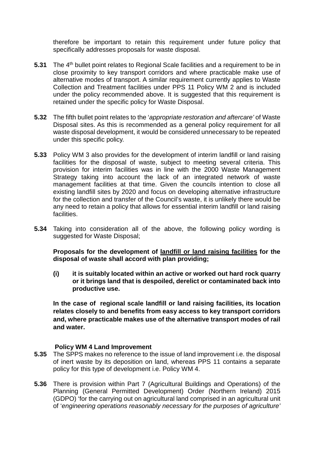therefore be important to retain this requirement under future policy that specifically addresses proposals for waste disposal.

- **5.31** The 4<sup>th</sup> bullet point relates to Regional Scale facilities and a requirement to be in close proximity to key transport corridors and where practicable make use of alternative modes of transport. A similar requirement currently applies to Waste Collection and Treatment facilities under PPS 11 Policy WM 2 and is included under the policy recommended above. It is suggested that this requirement is retained under the specific policy for Waste Disposal.
- **5.32** The fifth bullet point relates to the '*appropriate restoration and aftercare'* of Waste Disposal sites. As this is recommended as a general policy requirement for all waste disposal development, it would be considered unnecessary to be repeated under this specific policy.
- **5.33** Policy WM 3 also provides for the development of interim landfill or land raising facilities for the disposal of waste, subject to meeting several criteria. This provision for interim facilities was in line with the 2000 Waste Management Strategy taking into account the lack of an integrated network of waste management facilities at that time. Given the councils intention to close all existing landfill sites by 2020 and focus on developing alternative infrastructure for the collection and transfer of the Council's waste, it is unlikely there would be any need to retain a policy that allows for essential interim landfill or land raising facilities.
- **5.34** Taking into consideration all of the above, the following policy wording is suggested for Waste Disposal;

**Proposals for the development of landfill or land raising facilities for the disposal of waste shall accord with plan providing;**

**(i) it is suitably located within an active or worked out hard rock quarry or it brings land that is despoiled, derelict or contaminated back into productive use.**

**In the case of regional scale landfill or land raising facilities, its location relates closely to and benefits from easy access to key transport corridors and, where practicable makes use of the alternative transport modes of rail and water.** 

## **Policy WM 4 Land Improvement**

- **5.35** The SPPS makes no reference to the issue of land improvement i.e. the disposal of inert waste by its deposition on land, whereas PPS 11 contains a separate policy for this type of development i.e. Policy WM 4.
- **5.36** There is provision within Part 7 (Agricultural Buildings and Operations) of the Planning (General Permitted Development) Order (Northern Ireland) 2015 (GDPO) 'for the carrying out on agricultural land comprised in an agricultural unit of '*engineering operations reasonably necessary for the purposes of agriculture'*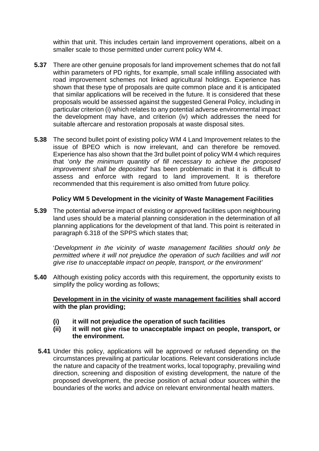within that unit. This includes certain land improvement operations, albeit on a smaller scale to those permitted under current policy WM 4.

- **5.37** There are other genuine proposals for land improvement schemes that do not fall within parameters of PD rights, for example, small scale infilling associated with road improvement schemes not linked agricultural holdings. Experience has shown that these type of proposals are quite common place and it is anticipated that similar applications will be received in the future. It is considered that these proposals would be assessed against the suggested General Policy, including in particular criterion (i) which relates to any potential adverse environmental impact the development may have, and criterion (iv) which addresses the need for suitable aftercare and restoration proposals at waste disposal sites.
- **5.38** The second bullet point of existing policy WM 4 Land Improvement relates to the issue of BPEO which is now irrelevant, and can therefore be removed. Experience has also shown that the 3rd bullet point of policy WM 4 which requires that '*only the minimum quantity of fill necessary to achieve the proposed improvement shall be deposited'* has been problematic in that it is difficult to assess and enforce with regard to land improvement. It is therefore recommended that this requirement is also omitted from future policy.

## **Policy WM 5 Development in the vicinity of Waste Management Facilities**

**5.39** The potential adverse impact of existing or approved facilities upon neighbouring land uses should be a material planning consideration in the determination of all planning applications for the development of that land. This point is reiterated in paragraph 6.318 of the SPPS which states that;

'*Development in the vicinity of waste management facilities should only be permitted where it will not prejudice the operation of such facilities and will not give rise to unacceptable impact on people, transport, or the environment'*

**5.40** Although existing policy accords with this requirement, the opportunity exists to simplify the policy wording as follows;

## **Development in in the vicinity of waste management facilities shall accord with the plan providing;**

- **(i) it will not prejudice the operation of such facilities**
- **(ii) it will not give rise to unacceptable impact on people, transport, or the environment.**
- **5.41** Under this policy, applications will be approved or refused depending on the circumstances prevailing at particular locations. Relevant considerations include the nature and capacity of the treatment works, local topography, prevailing wind direction, screening and disposition of existing development, the nature of the proposed development, the precise position of actual odour sources within the boundaries of the works and advice on relevant environmental health matters.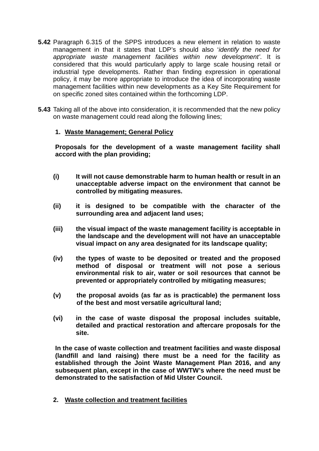- **5.42** Paragraph 6.315 of the SPPS introduces a new element in relation to waste management in that it states that LDP's should also '*identify the need for appropriate waste management facilities within new development'*. It is considered that this would particularly apply to large scale housing retail or industrial type developments. Rather than finding expression in operational policy, it may be more appropriate to introduce the idea of incorporating waste management facilities within new developments as a Key Site Requirement for on specific zoned sites contained within the forthcoming LDP.
- **5.43** Taking all of the above into consideration, it is recommended that the new policy on waste management could read along the following lines;

## **1. Waste Management; General Policy**

**Proposals for the development of a waste management facility shall accord with the plan providing;**

- **(i) It will not cause demonstrable harm to human health or result in an unacceptable adverse impact on the environment that cannot be controlled by mitigating measures.**
- **(ii) it is designed to be compatible with the character of the surrounding area and adjacent land uses;**
- **(iii) the visual impact of the waste management facility is acceptable in the landscape and the development will not have an unacceptable visual impact on any area designated for its landscape quality;**
- **(iv) the types of waste to be deposited or treated and the proposed method of disposal or treatment will not pose a serious environmental risk to air, water or soil resources that cannot be prevented or appropriately controlled by mitigating measures;**
- **(v) the proposal avoids (as far as is practicable) the permanent loss of the best and most versatile agricultural land;**
- **(vi) in the case of waste disposal the proposal includes suitable, detailed and practical restoration and aftercare proposals for the site.**

**In the case of waste collection and treatment facilities and waste disposal (landfill and land raising) there must be a need for the facility as established through the Joint Waste Management Plan 2016, and any subsequent plan, except in the case of WWTW's where the need must be demonstrated to the satisfaction of Mid Ulster Council.**

**2. Waste collection and treatment facilities**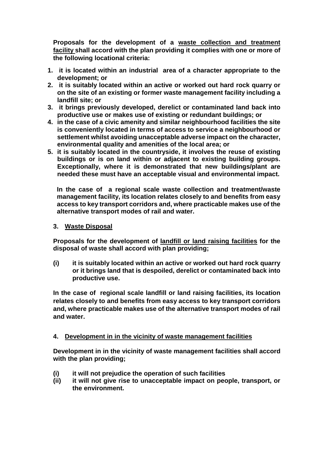**Proposals for the development of a waste collection and treatment facility shall accord with the plan providing it complies with one or more of the following locational criteria:**

- **1. it is located within an industrial area of a character appropriate to the development; or**
- **2. it is suitably located within an active or worked out hard rock quarry or on the site of an existing or former waste management facility including a landfill site; or**
- **3. it brings previously developed, derelict or contaminated land back into productive use or makes use of existing or redundant buildings; or**
- **4. in the case of a civic amenity and similar neighbourhood facilities the site is conveniently located in terms of access to service a neighbourhood or settlement whilst avoiding unacceptable adverse impact on the character, environmental quality and amenities of the local area; or**
- **5. it is suitably located in the countryside, it involves the reuse of existing buildings or is on land within or adjacent to existing building groups. Exceptionally, where it is demonstrated that new buildings/plant are needed these must have an acceptable visual and environmental impact.**

**In the case of a regional scale waste collection and treatment/waste management facility, its location relates closely to and benefits from easy access to key transport corridors and, where practicable makes use of the alternative transport modes of rail and water.**

## **3. Waste Disposal**

**Proposals for the development of landfill or land raising facilities for the disposal of waste shall accord with plan providing;**

**(i) it is suitably located within an active or worked out hard rock quarry or it brings land that is despoiled, derelict or contaminated back into productive use.**

**In the case of regional scale landfill or land raising facilities, its location relates closely to and benefits from easy access to key transport corridors and, where practicable makes use of the alternative transport modes of rail and water.** 

## **4. Development in in the vicinity of waste management facilities**

**Development in in the vicinity of waste management facilities shall accord with the plan providing;**

- **(i) it will not prejudice the operation of such facilities**
- **(ii) it will not give rise to unacceptable impact on people, transport, or the environment.**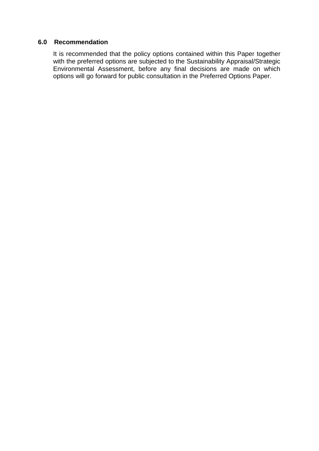#### **6.0 Recommendation**

It is recommended that the policy options contained within this Paper together with the preferred options are subjected to the Sustainability Appraisal/Strategic Environmental Assessment, before any final decisions are made on which options will go forward for public consultation in the Preferred Options Paper.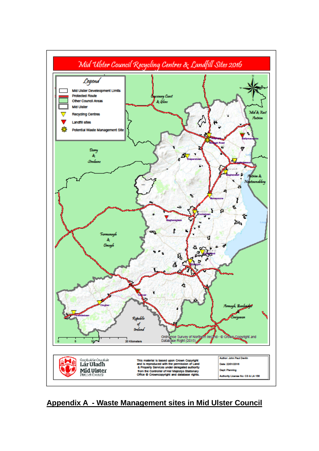

 **Appendix A - Waste Management sites in Mid Ulster Council**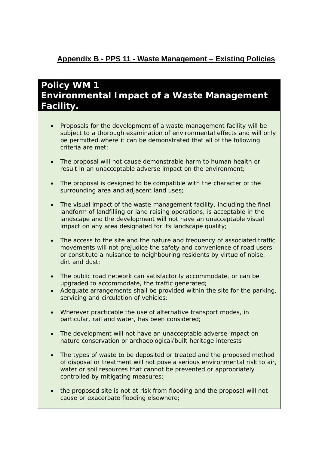## **Appendix B - PPS 11 - Waste Management – Existing Policies**

# **Policy WM 1 Environmental Impact of a Waste Management Facility.**

- Proposals for the development of a waste management facility will be subject to a thorough examination of environmental effects and will only be permitted where it can be demonstrated that all of the following criteria are met:
- The proposal will not cause demonstrable harm to human health or result in an unacceptable adverse impact on the environment;
- The proposal is designed to be compatible with the character of the surrounding area and adjacent land uses;
- The visual impact of the waste management facility, including the final landform of landfilling or land raising operations, is acceptable in the landscape and the development will not have an unacceptable visual impact on any area designated for its landscape quality;
- The access to the site and the nature and frequency of associated traffic movements will not prejudice the safety and convenience of road users or constitute a nuisance to neighbouring residents by virtue of noise, dirt and dust;
- The public road network can satisfactorily accommodate, or can be upgraded to accommodate, the traffic generated;
- Adequate arrangements shall be provided within the site for the parking, servicing and circulation of vehicles;
- Wherever practicable the use of alternative transport modes, in particular, rail and water, has been considered;
- The development will not have an unacceptable adverse impact on nature conservation or archaeological/built heritage interests
- The types of waste to be deposited or treated and the proposed method of disposal or treatment will not pose a serious environmental risk to air, water or soil resources that cannot be prevented or appropriately controlled by mitigating measures;
- the proposed site is not at risk from flooding and the proposal will not cause or exacerbate flooding elsewhere;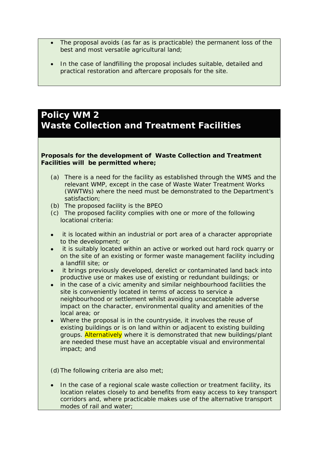- The proposal avoids (as far as is practicable) the permanent loss of the best and most versatile agricultural land;
- In the case of landfilling the proposal includes suitable, detailed and practical restoration and aftercare proposals for the site.

## **Policy WM 2 Waste Collection and Treatment Facilities**

#### **Proposals for the development of Waste Collection and Treatment Facilities will be permitted where;**

- (a) There is a need for the facility as established through the WMS and the relevant WMP, except in the case of Waste Water Treatment Works (WWTWs) where the need must be demonstrated to the Department's satisfaction;
- (b) The proposed facility is the BPEO
- (c) The proposed facility complies with one or more of the following locational criteria:
- it is located within an industrial or port area of a character appropriate to the development; or
- it is suitably located within an active or worked out hard rock quarry or on the site of an existing or former waste management facility including a landfill site; or
- it brings previously developed, derelict or contaminated land back into productive use or makes use of existing or redundant buildings; or
- in the case of a civic amenity and similar neighbourhood facilities the site is conveniently located in terms of access to service a neighbourhood or settlement whilst avoiding unacceptable adverse impact on the character, environmental quality and amenities of the local area; or
- Where the proposal is in the countryside, it involves the reuse of existing buildings or is on land within or adjacent to existing building groups. Alternatively where it is demonstrated that new buildings/plant are needed these must have an acceptable visual and environmental impact; and

(d)The following criteria are also met;

• In the case of a regional scale waste collection or treatment facility, its location relates closely to and benefits from easy access to key transport corridors and, where practicable makes use of the alternative transport modes of rail and water;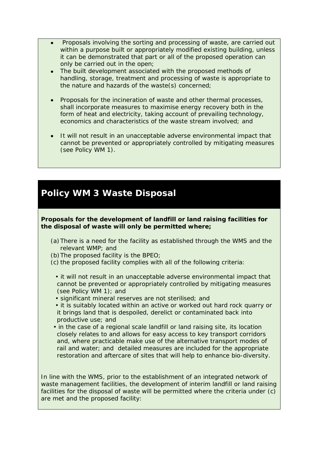- Proposals involving the sorting and processing of waste, are carried out within a purpose built or appropriately modified existing building, unless it can be demonstrated that part or all of the proposed operation can only be carried out in the open;
- The built development associated with the proposed methods of handling, storage, treatment and processing of waste is appropriate to the nature and hazards of the waste(s) concerned;
- Proposals for the incineration of waste and other thermal processes, shall incorporate measures to maximise energy recovery both in the form of heat and electricity, taking account of prevailing technology, economics and characteristics of the waste stream involved; and
- It will not result in an unacceptable adverse environmental impact that cannot be prevented or appropriately controlled by mitigating measures (see Policy WM 1).

# **Policy WM 3 Waste Disposal**

**Proposals for the development of landfill or land raising facilities for the disposal of waste will only be permitted where;**

- (a)There is a need for the facility as established through the WMS and the relevant WMP; and
- (b)The proposed facility is the BPEO;
- (c) the proposed facility complies with all of the following criteria:
	- it will not result in an unacceptable adverse environmental impact that cannot be prevented or appropriately controlled by mitigating measures (see Policy WM 1); and
	- significant mineral reserves are not sterilised; and
	- it is suitably located within an active or worked out hard rock quarry or it brings land that is despoiled, derelict or contaminated back into productive use; and
- in the case of a regional scale landfill or land raising site, its location closely relates to and allows for easy access to key transport corridors and, where practicable make use of the alternative transport modes of rail and water; and detailed measures are included for the appropriate restoration and aftercare of sites that will help to enhance bio-diversity.

In line with the WMS, prior to the establishment of an integrated network of waste management facilities, the development of interim landfill or land raising facilities for the disposal of waste will be permitted where the criteria under (c) are met and the proposed facility: